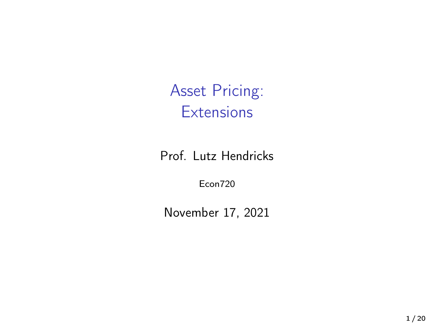Asset Pricing: **Extensions** 

Prof. Lutz Hendricks

Econ720

November 17, 2021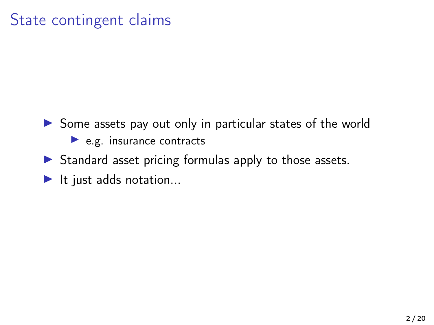## State contingent claims

- $\triangleright$  Some assets pay out only in particular states of the world  $\blacktriangleright$  e.g. insurance contracts
- $\triangleright$  Standard asset pricing formulas apply to those assets.
- $\blacktriangleright$  It just adds notation...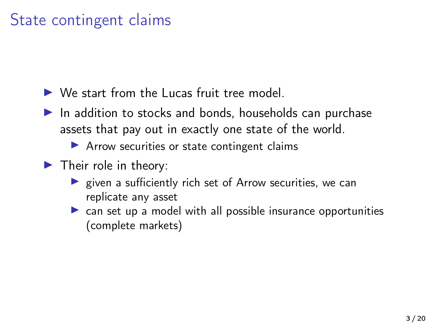## State contingent claims

 $\triangleright$  We start from the Lucas fruit tree model.

 $\blacktriangleright$  In addition to stocks and bonds, households can purchase assets that pay out in exactly one state of the world.

 $\blacktriangleright$  Arrow securities or state contingent claims

- $\blacktriangleright$  Their role in theory:
	- $\blacktriangleright$  given a sufficiently rich set of Arrow securities, we can replicate any asset
	- $\triangleright$  can set up a model with all possible insurance opportunities (complete markets)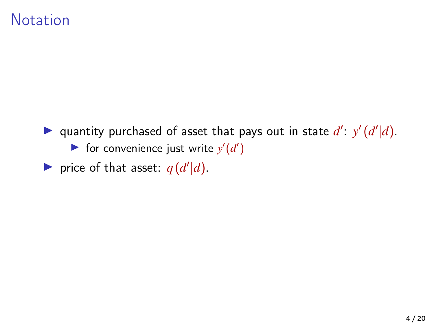#### **Notation**

- quantity purchased of asset that pays out in state  $d'$ :  $y'(d'|d)$ . **If** for convenience just write  $y'(d')$
- $\triangleright$  price of that asset:  $q(d'|d)$ .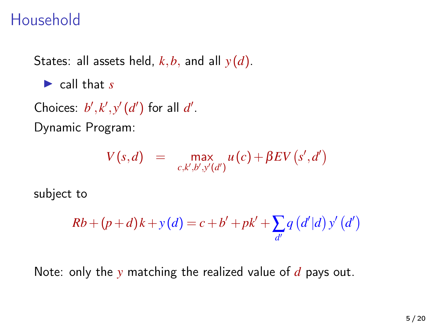## Household

States: all assets held, *k*,*b*, and all *y* (*d*).

 $\blacktriangleright$  call that *s* 

Choices:  $b', k', y' (d')$  for all  $d'$ . Dynamic Program:

$$
V(s,d) = \max_{c,k',b',y'(d')} u(c) + \beta EV(s',d')
$$

subject to

$$
Rb + (p+d)k + y(d) = c + b' + pk' + \sum_{d'} q(d'|d) y'(d')
$$

Note: only the *y* matching the realized value of *d* pays out.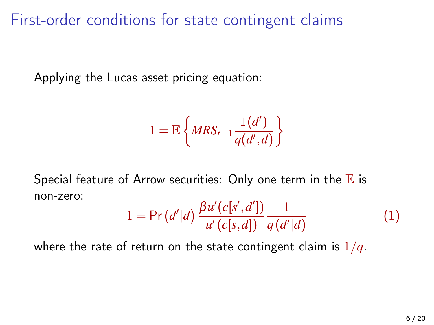First-order conditions for state contingent claims

Applying the Lucas asset pricing equation:

$$
1 = \mathbb{E}\left\{MRS_{t+1}\frac{\mathbb{I}(d')}{q(d',d)}\right\}
$$

Special feature of Arrow securities: Only one term in the  $E$  is non-zero:

$$
1 = \Pr\left(d'|d\right) \frac{\beta u'(c[s', d'])}{u'(c[s, d])} \frac{1}{q(d'|d)}\tag{1}
$$

where the rate of return on the state contingent claim is 1/*q*.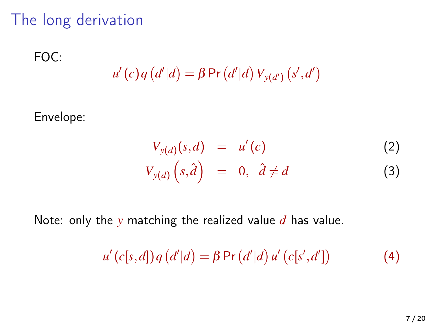## The long derivation

FOC:

$$
u'(c) q(d'|d) = \beta \Pr(d'|d) V_{y(d')} (s', d')
$$

Envelope:

$$
V_{y(d)}(s,d) = u'(c)
$$
\n
$$
V_{y(d)}(s,\hat{d}) = 0, \ \hat{d} \neq d
$$
\n(2)

Note: only the *y* matching the realized value *d* has value.

$$
u'(c[s,d]) q(d'|d) = \beta \Pr(d'|d) u'(c[s',d']) \tag{4}
$$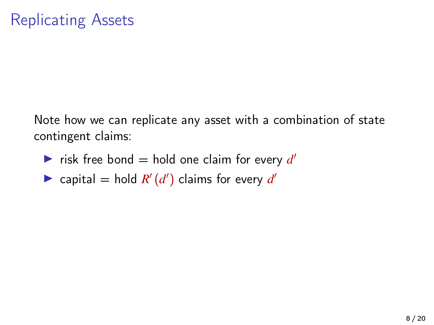Note how we can replicate any asset with a combination of state contingent claims:

- **If** risk free bond = hold one claim for every  $d'$
- rian capital = hold  $R'(d')$  claims for every  $d'$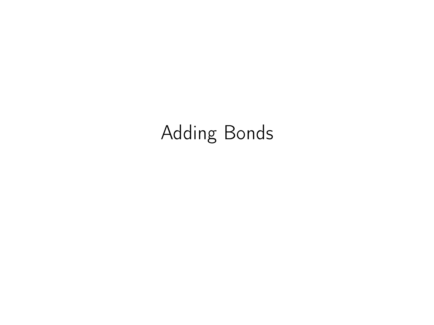# Adding Bonds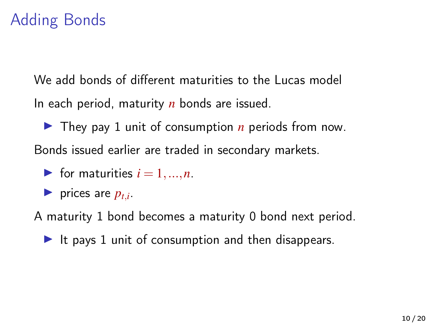## Adding Bonds

We add bonds of different maturities to the Lucas model In each period, maturity *n* bonds are issued.

 $\blacktriangleright$  They pay 1 unit of consumption *n* periods from now. Bonds issued earlier are traded in secondary markets.

- $\blacktriangleright$  for maturities  $i = 1, ..., n$ .
- $\blacktriangleright$  prices are  $p_{t,i}$ .

A maturity 1 bond becomes a maturity 0 bond next period.

It pays 1 unit of consumption and then disappears.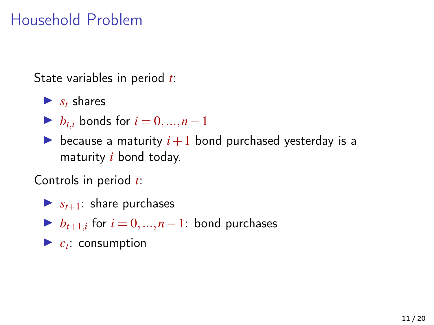## Household Problem

State variables in period *t*:

- $\blacktriangleright$  *s<sub>t</sub>* shares
- $\triangleright$  *b*<sub>t*i*</sub> bonds for *i* = 0, ..., *n* − 1
- because a maturity  $i+1$  bond purchased yesterday is a maturity *i* bond today.

Controls in period *t*:

- $\blacktriangleright$   $s_{t+1}$ : share purchases
- $\triangleright$  *b*<sub>*t*+1,*i*</sub> for *i* = 0, ..., *n* − 1: bond purchases
- $\blacktriangleright$   $c_t$ : consumption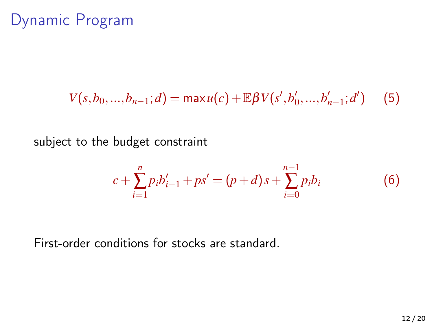#### Dynamic Program

$$
V(s, b_0, ..., b_{n-1}; d) = \max u(c) + \mathbb{E}\beta V(s', b'_0, ..., b'_{n-1}; d')
$$
 (5)

subject to the budget constraint

$$
c + \sum_{i=1}^{n} p_i b'_{i-1} + ps' = (p+d)s + \sum_{i=0}^{n-1} p_i b_i
$$
 (6)

First-order conditions for stocks are standard.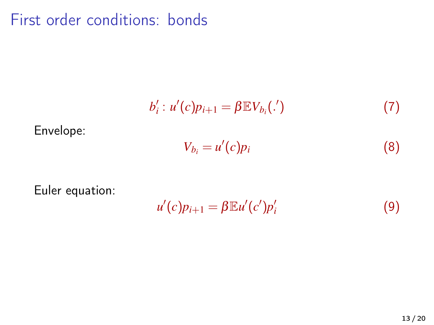First order conditions: bonds

$$
b'_{i}: u'(c)p_{i+1} = \beta \mathbb{E} V_{b_{i}}(\cdot')
$$
 (7)

Envelope:

$$
V_{b_i} = u'(c)p_i \tag{8}
$$

Euler equation:

 $u'(c)p_{i+1} = \beta \mathbb{E} u'(c')p'_i$ (9)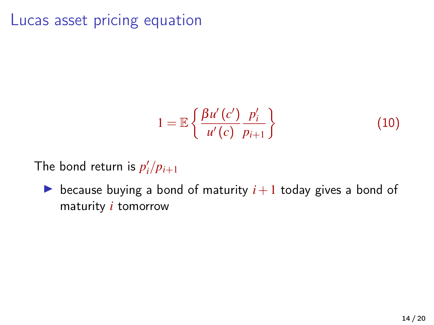#### Lucas asset pricing equation

$$
1 = \mathbb{E}\left\{\frac{\beta u'(c')}{u'(c)}\frac{p'_i}{p_{i+1}}\right\} \tag{10}
$$

The bond return is  $p'_i/p_{i+1}$ 

 $\triangleright$  because buying a bond of maturity  $i+1$  today gives a bond of maturity *i* tomorrow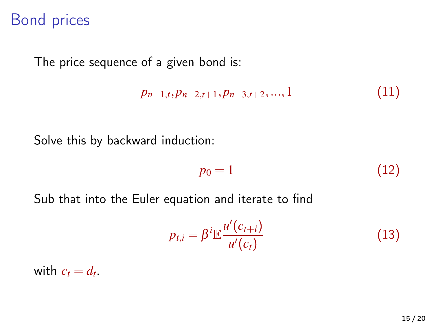#### Bond prices

The price sequence of a given bond is:

$$
p_{n-1,t}, p_{n-2,t+1}, p_{n-3,t+2}, \ldots, 1 \tag{11}
$$

Solve this by backward induction:

$$
p_0 = 1 \tag{12}
$$

Sub that into the Euler equation and iterate to find

$$
p_{t,i} = \beta^i \mathbb{E} \frac{u'(c_{t+i})}{u'(c_t)}
$$
\n(13)

with  $c_t = d_t$ .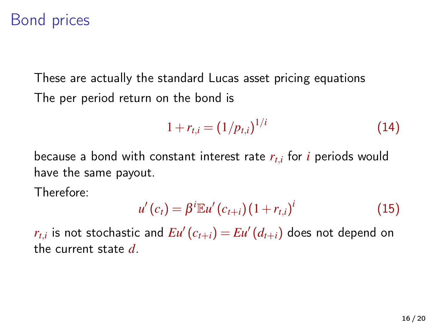### Bond prices

These are actually the standard Lucas asset pricing equations The per period return on the bond is

$$
1 + r_{t,i} = (1/p_{t,i})^{1/i} \tag{14}
$$

because a bond with constant interest rate *rt*,*<sup>i</sup>* for *i* periods would have the same payout.

Therefore:

$$
u'(c_t) = \beta^i \mathbb{E} u'(c_{t+i}) (1 + r_{t,i})^i
$$
 (15)

 $r_{t,i}$  is not stochastic and  $Eu'(c_{t+i}) = Eu'(d_{t+i})$  does not depend on the current state *d*.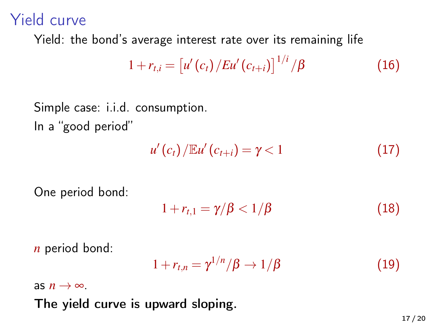#### Yield curve

Yield: the bond's average interest rate over its remaining life

$$
1 + r_{t,i} = \left[ u'(c_t) / E u'(c_{t+i}) \right]^{1/i} / \beta \tag{16}
$$

Simple case: i.i.d. consumption. In a "good period"

$$
u'(c_t)/\mathbb{E}u'(c_{t+i})=\gamma<1
$$
\n(17)

One period bond:

$$
1 + r_{t,1} = \gamma/\beta < 1/\beta \tag{18}
$$

*n* period bond:

$$
1 + r_{t,n} = \gamma^{1/n} / \beta \to 1/\beta \tag{19}
$$

as  $n \rightarrow \infty$ .

The yield curve is upward sloping.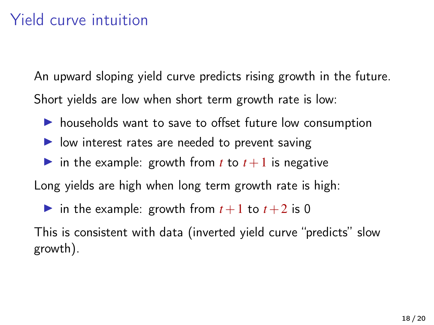## Yield curve intuition

An upward sloping yield curve predicts rising growth in the future. Short yields are low when short term growth rate is low:

- $\triangleright$  households want to save to offset future low consumption
- $\triangleright$  low interest rates are needed to prevent saving
- in the example: growth from *t* to  $t+1$  is negative

Long yields are high when long term growth rate is high:

in the example: growth from  $t+1$  to  $t+2$  is 0

This is consistent with data (inverted yield curve "predicts" slow growth).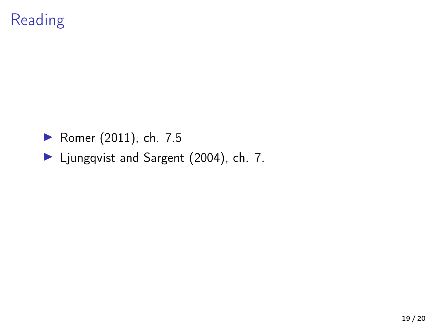## Reading

- ▶ [Romer \(2011\)](#page-19-0), ch. 7.5
- I [Ljungqvist and Sargent \(2004\)](#page-19-1), ch. 7.